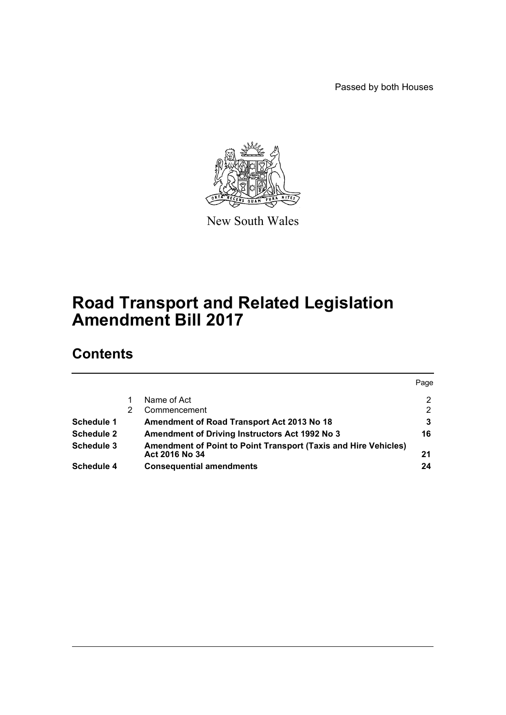Passed by both Houses



New South Wales

# **Road Transport and Related Legislation Amendment Bill 2017**

# **Contents**

|                   |                                                                                   |                                                       | Page |
|-------------------|-----------------------------------------------------------------------------------|-------------------------------------------------------|------|
|                   |                                                                                   | Name of Act                                           | 2    |
|                   |                                                                                   | Commencement                                          | 2    |
| Schedule 1        |                                                                                   | Amendment of Road Transport Act 2013 No 18            |      |
| <b>Schedule 2</b> |                                                                                   | <b>Amendment of Driving Instructors Act 1992 No 3</b> | 16   |
| Schedule 3        | Amendment of Point to Point Transport (Taxis and Hire Vehicles)<br>Act 2016 No 34 |                                                       | 21   |
| Schedule 4        |                                                                                   | <b>Consequential amendments</b>                       | 24   |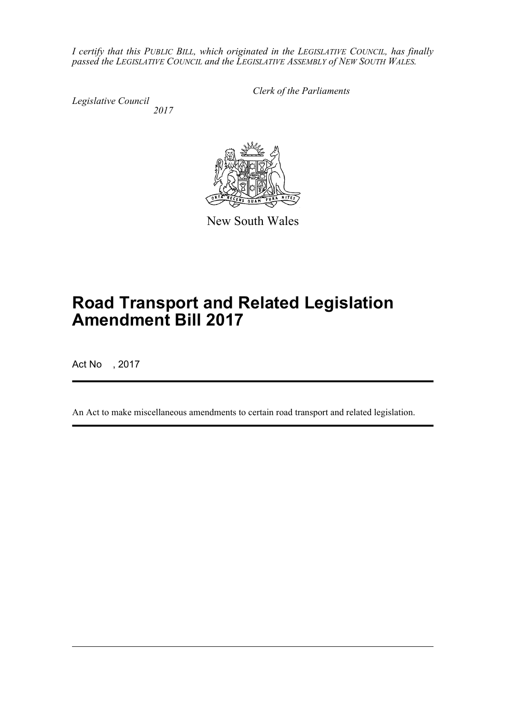*I certify that this PUBLIC BILL, which originated in the LEGISLATIVE COUNCIL, has finally passed the LEGISLATIVE COUNCIL and the LEGISLATIVE ASSEMBLY of NEW SOUTH WALES.*

*Legislative Council 2017* *Clerk of the Parliaments*



New South Wales

# **Road Transport and Related Legislation Amendment Bill 2017**

Act No , 2017

An Act to make miscellaneous amendments to certain road transport and related legislation.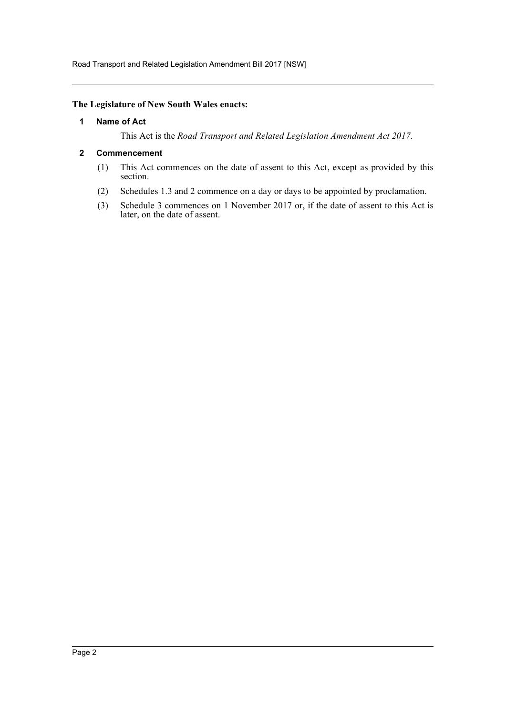Road Transport and Related Legislation Amendment Bill 2017 [NSW]

#### <span id="page-2-0"></span>**The Legislature of New South Wales enacts:**

#### **1 Name of Act**

This Act is the *Road Transport and Related Legislation Amendment Act 2017*.

#### <span id="page-2-1"></span>**2 Commencement**

- (1) This Act commences on the date of assent to this Act, except as provided by this section.
- (2) Schedules 1.3 and 2 commence on a day or days to be appointed by proclamation.
- (3) Schedule 3 commences on 1 November 2017 or, if the date of assent to this Act is later, on the date of assent.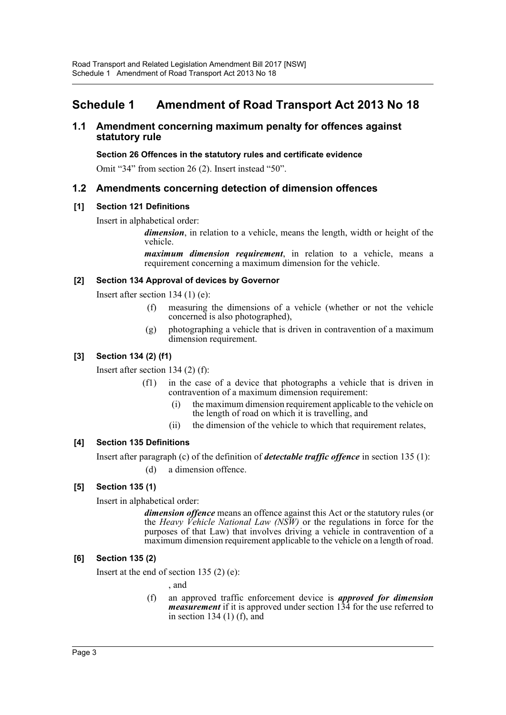# <span id="page-3-0"></span>**Schedule 1 Amendment of Road Transport Act 2013 No 18**

# **1.1 Amendment concerning maximum penalty for offences against statutory rule**

#### **Section 26 Offences in the statutory rules and certificate evidence**

Omit "34" from section 26 (2). Insert instead "50".

# **1.2 Amendments concerning detection of dimension offences**

# **[1] Section 121 Definitions**

Insert in alphabetical order:

*dimension*, in relation to a vehicle, means the length, width or height of the vehicle.

*maximum dimension requirement*, in relation to a vehicle, means a requirement concerning a maximum dimension for the vehicle.

#### **[2] Section 134 Approval of devices by Governor**

Insert after section 134 (1) (e):

- (f) measuring the dimensions of a vehicle (whether or not the vehicle concerned is also photographed),
- (g) photographing a vehicle that is driven in contravention of a maximum dimension requirement.

# **[3] Section 134 (2) (f1)**

Insert after section 134 (2) (f):

- (f1) in the case of a device that photographs a vehicle that is driven in contravention of a maximum dimension requirement:
	- (i) the maximum dimension requirement applicable to the vehicle on the length of road on which it is travelling, and
	- (ii) the dimension of the vehicle to which that requirement relates,

# **[4] Section 135 Definitions**

Insert after paragraph (c) of the definition of *detectable traffic offence* in section 135 (1):

(d) a dimension offence.

# **[5] Section 135 (1)**

Insert in alphabetical order:

*dimension offence* means an offence against this Act or the statutory rules (or the *Heavy Vehicle National Law (NSW)* or the regulations in force for the purposes of that Law) that involves driving a vehicle in contravention of a maximum dimension requirement applicable to the vehicle on a length of road.

# **[6] Section 135 (2)**

Insert at the end of section 135 $(2)$  (e):

, and

(f) an approved traffic enforcement device is *approved for dimension measurement* if it is approved under section 134 for the use referred to in section 134 $(1)$  $(f)$ , and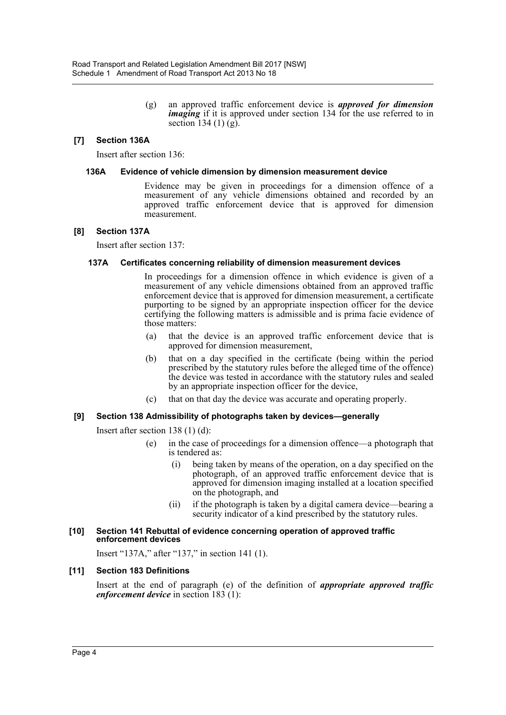(g) an approved traffic enforcement device is *approved for dimension imaging* if it is approved under section 134 for the use referred to in section 134 $(1)$  $(g)$ .

#### **[7] Section 136A**

Insert after section 136:

#### **136A Evidence of vehicle dimension by dimension measurement device**

Evidence may be given in proceedings for a dimension offence of a measurement of any vehicle dimensions obtained and recorded by an approved traffic enforcement device that is approved for dimension measurement.

#### **[8] Section 137A**

Insert after section 137:

#### **137A Certificates concerning reliability of dimension measurement devices**

In proceedings for a dimension offence in which evidence is given of a measurement of any vehicle dimensions obtained from an approved traffic enforcement device that is approved for dimension measurement, a certificate purporting to be signed by an appropriate inspection officer for the device certifying the following matters is admissible and is prima facie evidence of those matters:

- (a) that the device is an approved traffic enforcement device that is approved for dimension measurement,
- (b) that on a day specified in the certificate (being within the period prescribed by the statutory rules before the alleged time of the offence) the device was tested in accordance with the statutory rules and sealed by an appropriate inspection officer for the device,
- (c) that on that day the device was accurate and operating properly.

#### **[9] Section 138 Admissibility of photographs taken by devices—generally**

Insert after section 138 (1) (d):

- (e) in the case of proceedings for a dimension offence—a photograph that is tendered as:
	- (i) being taken by means of the operation, on a day specified on the photograph, of an approved traffic enforcement device that is approved for dimension imaging installed at a location specified on the photograph, and
	- (ii) if the photograph is taken by a digital camera device—bearing a security indicator of a kind prescribed by the statutory rules.

#### **[10] Section 141 Rebuttal of evidence concerning operation of approved traffic enforcement devices**

Insert "137A," after "137," in section 141 (1).

#### **[11] Section 183 Definitions**

Insert at the end of paragraph (e) of the definition of *appropriate approved traffic enforcement device* in section 183 (1):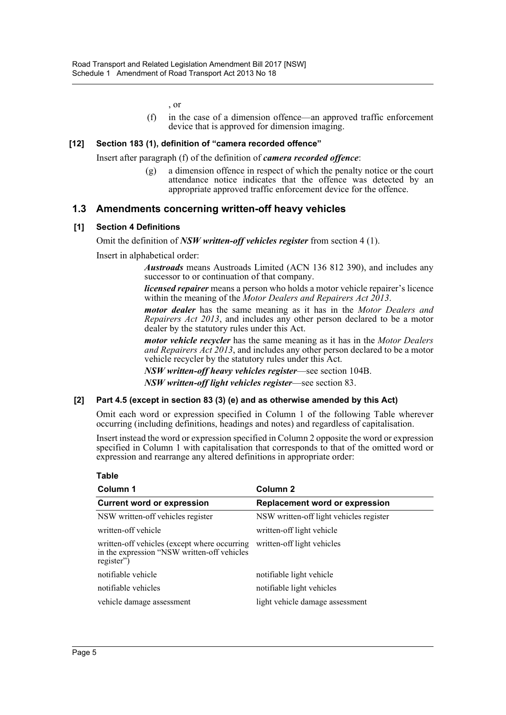, or

(f) in the case of a dimension offence—an approved traffic enforcement device that is approved for dimension imaging.

#### **[12] Section 183 (1), definition of "camera recorded offence"**

Insert after paragraph (f) of the definition of *camera recorded offence*:

(g) a dimension offence in respect of which the penalty notice or the court attendance notice indicates that the offence was detected by an appropriate approved traffic enforcement device for the offence.

# **1.3 Amendments concerning written-off heavy vehicles**

#### **[1] Section 4 Definitions**

Omit the definition of *NSW written-off vehicles register* from section 4 (1).

Insert in alphabetical order:

*Austroads* means Austroads Limited (ACN 136 812 390), and includes any successor to or continuation of that company.

*licensed repairer* means a person who holds a motor vehicle repairer's licence within the meaning of the *Motor Dealers and Repairers Act 2013*.

*motor dealer* has the same meaning as it has in the *Motor Dealers and Repairers Act 2013*, and includes any other person declared to be a motor dealer by the statutory rules under this Act.

*motor vehicle recycler* has the same meaning as it has in the *Motor Dealers and Repairers Act 2013*, and includes any other person declared to be a motor vehicle recycler by the statutory rules under this Act.

*NSW written-off heavy vehicles register*—see section 104B.

*NSW written-off light vehicles register*—see section 83.

#### **[2] Part 4.5 (except in section 83 (3) (e) and as otherwise amended by this Act)**

Omit each word or expression specified in Column 1 of the following Table wherever occurring (including definitions, headings and notes) and regardless of capitalisation.

Insert instead the word or expression specified in Column 2 opposite the word or expression specified in Column 1 with capitalisation that corresponds to that of the omitted word or expression and rearrange any altered definitions in appropriate order:

| Column 1                                                                                                  | Column 2                                |  |
|-----------------------------------------------------------------------------------------------------------|-----------------------------------------|--|
| <b>Current word or expression</b>                                                                         | <b>Replacement word or expression</b>   |  |
| NSW written-off vehicles register                                                                         | NSW written-off light vehicles register |  |
| written-off vehicle                                                                                       | written-off light vehicle               |  |
| written-off vehicles (except where occurring<br>in the expression "NSW written-off vehicles<br>register") | written-off light vehicles              |  |
| notifiable vehicle                                                                                        | notifiable light vehicle                |  |
| notifiable vehicles                                                                                       | notifiable light vehicles               |  |
| vehicle damage assessment                                                                                 | light vehicle damage assessment         |  |

**Table**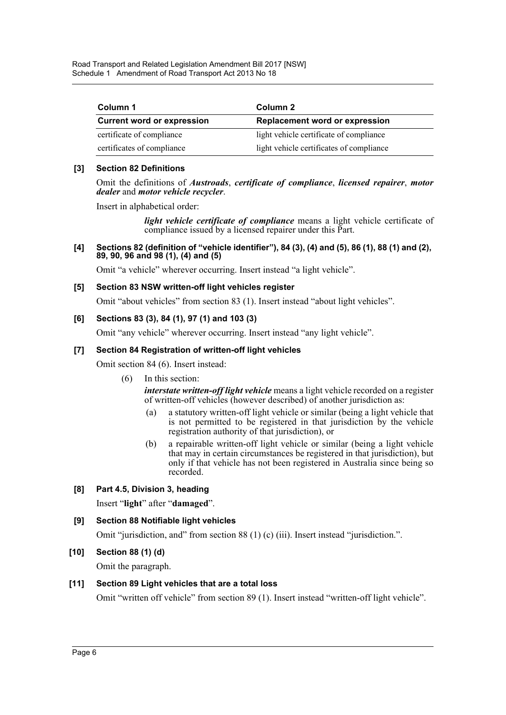Road Transport and Related Legislation Amendment Bill 2017 [NSW] Schedule 1 Amendment of Road Transport Act 2013 No 18

| Column 1                          | Column 2                                 |  |
|-----------------------------------|------------------------------------------|--|
| <b>Current word or expression</b> | <b>Replacement word or expression</b>    |  |
| certificate of compliance         | light vehicle certificate of compliance  |  |
| certificates of compliance        | light vehicle certificates of compliance |  |

#### **[3] Section 82 Definitions**

Omit the definitions of *Austroads*, *certificate of compliance*, *licensed repairer*, *motor dealer* and *motor vehicle recycler*.

Insert in alphabetical order:

*light vehicle certificate of compliance* means a light vehicle certificate of compliance issued by a licensed repairer under this Part.

**[4] Sections 82 (definition of "vehicle identifier"), 84 (3), (4) and (5), 86 (1), 88 (1) and (2), 89, 90, 96 and 98 (1), (4) and (5)**

Omit "a vehicle" wherever occurring. Insert instead "a light vehicle".

#### **[5] Section 83 NSW written-off light vehicles register**

Omit "about vehicles" from section 83 (1). Insert instead "about light vehicles".

#### **[6] Sections 83 (3), 84 (1), 97 (1) and 103 (3)**

Omit "any vehicle" wherever occurring. Insert instead "any light vehicle".

#### **[7] Section 84 Registration of written-off light vehicles**

Omit section 84 (6). Insert instead:

(6) In this section:

*interstate written-off light vehicle* means a light vehicle recorded on a register of written-off vehicles (however described) of another jurisdiction as:

- (a) a statutory written-off light vehicle or similar (being a light vehicle that is not permitted to be registered in that jurisdiction by the vehicle registration authority of that jurisdiction), or
- (b) a repairable written-off light vehicle or similar (being a light vehicle that may in certain circumstances be registered in that jurisdiction), but only if that vehicle has not been registered in Australia since being so recorded.

# **[8] Part 4.5, Division 3, heading**

Insert "**light**" after "**damaged**".

# **[9] Section 88 Notifiable light vehicles**

Omit "jurisdiction, and" from section 88 (1) (c) (iii). Insert instead "jurisdiction.".

# **[10] Section 88 (1) (d)**

Omit the paragraph.

#### **[11] Section 89 Light vehicles that are a total loss**

Omit "written off vehicle" from section 89 (1). Insert instead "written-off light vehicle".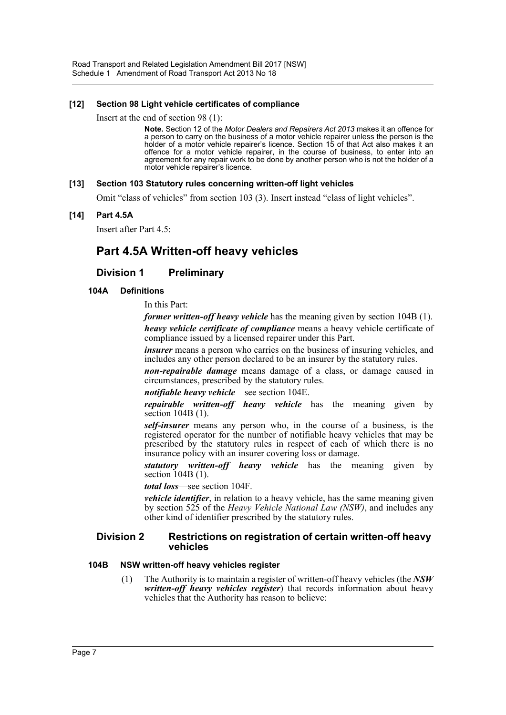#### **[12] Section 98 Light vehicle certificates of compliance**

Insert at the end of section 98 (1):

**Note.** Section 12 of the *Motor Dealers and Repairers Act 2013* makes it an offence for a person to carry on the business of a motor vehicle repairer unless the person is the holder of a motor vehicle repairer's licence. Section 15 of that Act also makes it an offence for a motor vehicle repairer, in the course of business, to enter into an agreement for any repair work to be done by another person who is not the holder of a motor vehicle repairer's licence.

#### **[13] Section 103 Statutory rules concerning written-off light vehicles**

Omit "class of vehicles" from section 103 (3). Insert instead "class of light vehicles".

#### **[14] Part 4.5A**

Insert after Part 4.5:

# **Part 4.5A Written-off heavy vehicles**

# **Division 1 Preliminary**

#### **104A Definitions**

In this Part:

*former written-off heavy vehicle* has the meaning given by section 104B (1). *heavy vehicle certificate of compliance* means a heavy vehicle certificate of compliance issued by a licensed repairer under this Part.

*insurer* means a person who carries on the business of insuring vehicles, and includes any other person declared to be an insurer by the statutory rules.

*non-repairable damage* means damage of a class, or damage caused in circumstances, prescribed by the statutory rules.

*notifiable heavy vehicle*—see section 104E.

*repairable written-off heavy vehicle* has the meaning given by section 104B (1).

*self-insurer* means any person who, in the course of a business, is the registered operator for the number of notifiable heavy vehicles that may be prescribed by the statutory rules in respect of each of which there is no insurance policy with an insurer covering loss or damage.

*statutory written-off heavy vehicle* has the meaning given by section 104B (1).

*total loss*—see section 104F.

*vehicle identifier*, in relation to a heavy vehicle, has the same meaning given by section 525 of the *Heavy Vehicle National Law (NSW)*, and includes any other kind of identifier prescribed by the statutory rules.

#### **Division 2 Restrictions on registration of certain written-off heavy vehicles**

#### **104B NSW written-off heavy vehicles register**

(1) The Authority is to maintain a register of written-off heavy vehicles (the *NSW written-off heavy vehicles register*) that records information about heavy vehicles that the Authority has reason to believe: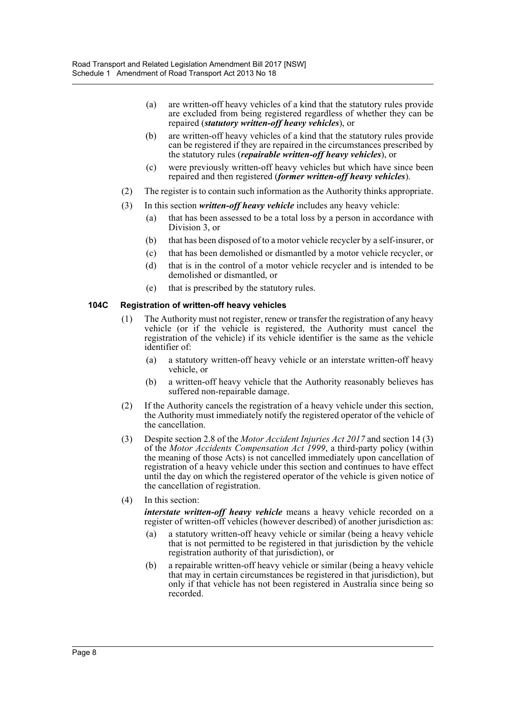- (a) are written-off heavy vehicles of a kind that the statutory rules provide are excluded from being registered regardless of whether they can be repaired (*statutory written-off heavy vehicles*), or
- (b) are written-off heavy vehicles of a kind that the statutory rules provide can be registered if they are repaired in the circumstances prescribed by the statutory rules (*repairable written-off heavy vehicles*), or
- (c) were previously written-off heavy vehicles but which have since been repaired and then registered (*former written-off heavy vehicles*).
- (2) The register is to contain such information as the Authority thinks appropriate.
- (3) In this section *written-off heavy vehicle* includes any heavy vehicle:
	- (a) that has been assessed to be a total loss by a person in accordance with Division 3, or
	- (b) that has been disposed of to a motor vehicle recycler by a self-insurer, or
	- (c) that has been demolished or dismantled by a motor vehicle recycler, or
	- (d) that is in the control of a motor vehicle recycler and is intended to be demolished or dismantled, or
	- (e) that is prescribed by the statutory rules.

#### **104C Registration of written-off heavy vehicles**

- (1) The Authority must not register, renew or transfer the registration of any heavy vehicle (or if the vehicle is registered, the Authority must cancel the registration of the vehicle) if its vehicle identifier is the same as the vehicle identifier of:
	- (a) a statutory written-off heavy vehicle or an interstate written-off heavy vehicle, or
	- (b) a written-off heavy vehicle that the Authority reasonably believes has suffered non-repairable damage.
- (2) If the Authority cancels the registration of a heavy vehicle under this section, the Authority must immediately notify the registered operator of the vehicle of the cancellation.
- (3) Despite section 2.8 of the *Motor Accident Injuries Act 2017* and section 14 (3) of the *Motor Accidents Compensation Act 1999*, a third-party policy (within the meaning of those Acts) is not cancelled immediately upon cancellation of registration of a heavy vehicle under this section and continues to have effect until the day on which the registered operator of the vehicle is given notice of the cancellation of registration.
- (4) In this section:

*interstate written-off heavy vehicle* means a heavy vehicle recorded on a register of written-off vehicles (however described) of another jurisdiction as:

- (a) a statutory written-off heavy vehicle or similar (being a heavy vehicle that is not permitted to be registered in that jurisdiction by the vehicle registration authority of that jurisdiction), or
- (b) a repairable written-off heavy vehicle or similar (being a heavy vehicle that may in certain circumstances be registered in that jurisdiction), but only if that vehicle has not been registered in Australia since being so recorded.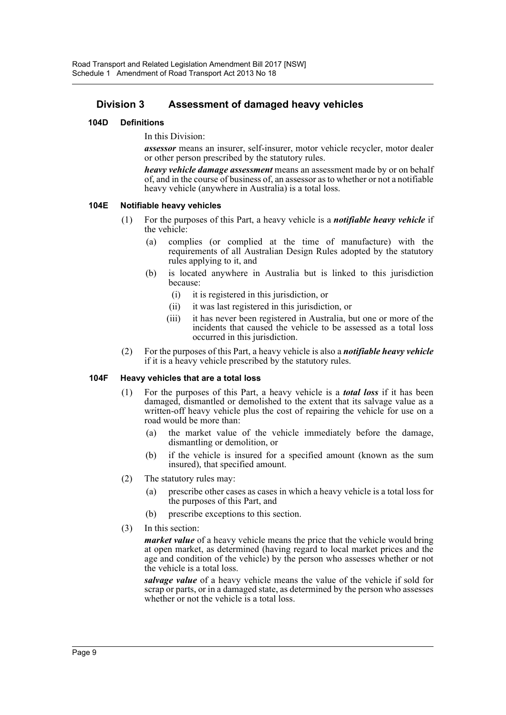# **Division 3 Assessment of damaged heavy vehicles**

#### **104D Definitions**

In this Division:

*assessor* means an insurer, self-insurer, motor vehicle recycler, motor dealer or other person prescribed by the statutory rules.

*heavy vehicle damage assessment* means an assessment made by or on behalf of, and in the course of business of, an assessor as to whether or not a notifiable heavy vehicle (anywhere in Australia) is a total loss.

#### **104E Notifiable heavy vehicles**

- (1) For the purposes of this Part, a heavy vehicle is a *notifiable heavy vehicle* if the vehicle:
	- (a) complies (or complied at the time of manufacture) with the requirements of all Australian Design Rules adopted by the statutory rules applying to it, and
	- (b) is located anywhere in Australia but is linked to this jurisdiction because:
		- (i) it is registered in this jurisdiction, or
		- (ii) it was last registered in this jurisdiction, or
		- (iii) it has never been registered in Australia, but one or more of the incidents that caused the vehicle to be assessed as a total loss occurred in this jurisdiction.
- (2) For the purposes of this Part, a heavy vehicle is also a *notifiable heavy vehicle* if it is a heavy vehicle prescribed by the statutory rules.

#### **104F Heavy vehicles that are a total loss**

- (1) For the purposes of this Part, a heavy vehicle is a *total loss* if it has been damaged, dismantled or demolished to the extent that its salvage value as a written-off heavy vehicle plus the cost of repairing the vehicle for use on a road would be more than:
	- (a) the market value of the vehicle immediately before the damage, dismantling or demolition, or
	- (b) if the vehicle is insured for a specified amount (known as the sum insured), that specified amount.
- (2) The statutory rules may:
	- (a) prescribe other cases as cases in which a heavy vehicle is a total loss for the purposes of this Part, and
	- (b) prescribe exceptions to this section.
- (3) In this section:

*market value* of a heavy vehicle means the price that the vehicle would bring at open market, as determined (having regard to local market prices and the age and condition of the vehicle) by the person who assesses whether or not the vehicle is a total loss.

*salvage value* of a heavy vehicle means the value of the vehicle if sold for scrap or parts, or in a damaged state, as determined by the person who assesses whether or not the vehicle is a total loss.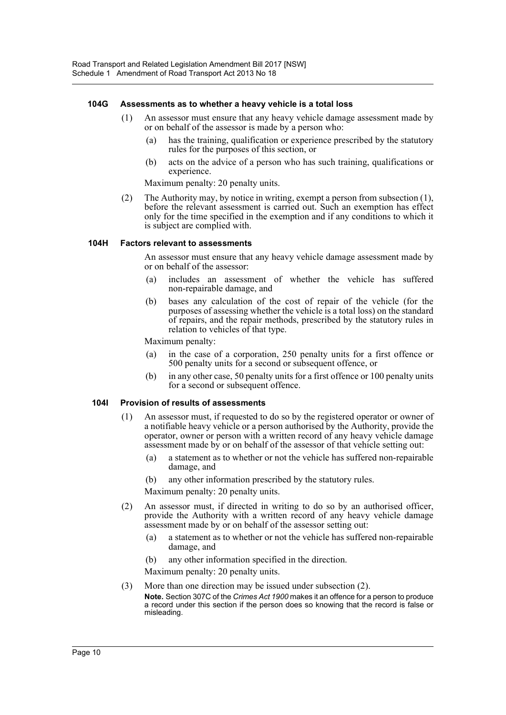#### **104G Assessments as to whether a heavy vehicle is a total loss**

- (1) An assessor must ensure that any heavy vehicle damage assessment made by or on behalf of the assessor is made by a person who:
	- (a) has the training, qualification or experience prescribed by the statutory rules for the purposes of this section, or
	- (b) acts on the advice of a person who has such training, qualifications or experience.

Maximum penalty: 20 penalty units.

(2) The Authority may, by notice in writing, exempt a person from subsection (1), before the relevant assessment is carried out. Such an exemption has effect only for the time specified in the exemption and if any conditions to which it is subject are complied with.

#### **104H Factors relevant to assessments**

An assessor must ensure that any heavy vehicle damage assessment made by or on behalf of the assessor:

- (a) includes an assessment of whether the vehicle has suffered non-repairable damage, and
- (b) bases any calculation of the cost of repair of the vehicle (for the purposes of assessing whether the vehicle is a total loss) on the standard of repairs, and the repair methods, prescribed by the statutory rules in relation to vehicles of that type.

Maximum penalty:

- (a) in the case of a corporation, 250 penalty units for a first offence or 500 penalty units for a second or subsequent offence, or
- (b) in any other case, 50 penalty units for a first offence or 100 penalty units for a second or subsequent offence.

#### **104I Provision of results of assessments**

- (1) An assessor must, if requested to do so by the registered operator or owner of a notifiable heavy vehicle or a person authorised by the Authority, provide the operator, owner or person with a written record of any heavy vehicle damage assessment made by or on behalf of the assessor of that vehicle setting out:
	- (a) a statement as to whether or not the vehicle has suffered non-repairable damage, and
	- (b) any other information prescribed by the statutory rules.

Maximum penalty: 20 penalty units.

- (2) An assessor must, if directed in writing to do so by an authorised officer, provide the Authority with a written record of any heavy vehicle damage assessment made by or on behalf of the assessor setting out:
	- (a) a statement as to whether or not the vehicle has suffered non-repairable damage, and
	- (b) any other information specified in the direction.

Maximum penalty: 20 penalty units.

(3) More than one direction may be issued under subsection (2).

**Note.** Section 307C of the *Crimes Act 1900* makes it an offence for a person to produce a record under this section if the person does so knowing that the record is false or misleading.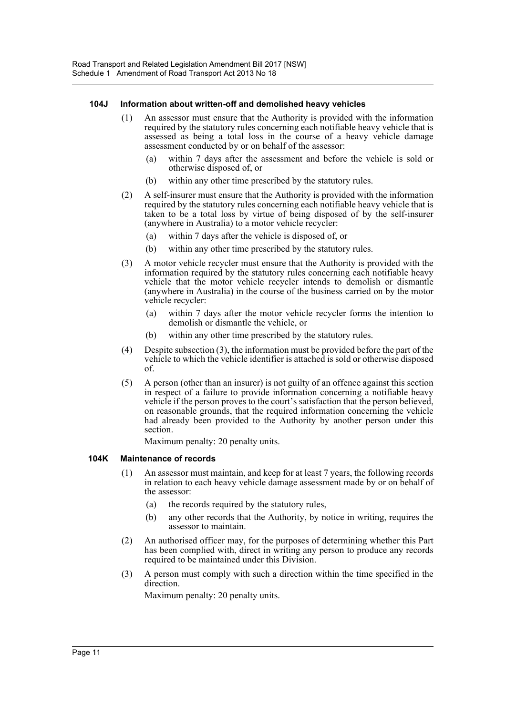#### **104J Information about written-off and demolished heavy vehicles**

- (1) An assessor must ensure that the Authority is provided with the information required by the statutory rules concerning each notifiable heavy vehicle that is assessed as being a total loss in the course of a heavy vehicle damage assessment conducted by or on behalf of the assessor:
	- (a) within 7 days after the assessment and before the vehicle is sold or otherwise disposed of, or
	- (b) within any other time prescribed by the statutory rules.
- (2) A self-insurer must ensure that the Authority is provided with the information required by the statutory rules concerning each notifiable heavy vehicle that is taken to be a total loss by virtue of being disposed of by the self-insurer (anywhere in Australia) to a motor vehicle recycler:
	- (a) within 7 days after the vehicle is disposed of, or
	- (b) within any other time prescribed by the statutory rules.
- (3) A motor vehicle recycler must ensure that the Authority is provided with the information required by the statutory rules concerning each notifiable heavy vehicle that the motor vehicle recycler intends to demolish or dismantle (anywhere in Australia) in the course of the business carried on by the motor vehicle recycler:
	- (a) within 7 days after the motor vehicle recycler forms the intention to demolish or dismantle the vehicle, or
	- (b) within any other time prescribed by the statutory rules.
- (4) Despite subsection (3), the information must be provided before the part of the vehicle to which the vehicle identifier is attached is sold or otherwise disposed of.
- (5) A person (other than an insurer) is not guilty of an offence against this section in respect of a failure to provide information concerning a notifiable heavy vehicle if the person proves to the court's satisfaction that the person believed, on reasonable grounds, that the required information concerning the vehicle had already been provided to the Authority by another person under this section.

Maximum penalty: 20 penalty units.

# **104K Maintenance of records**

- (1) An assessor must maintain, and keep for at least 7 years, the following records in relation to each heavy vehicle damage assessment made by or on behalf of the assessor:
	- (a) the records required by the statutory rules,
	- (b) any other records that the Authority, by notice in writing, requires the assessor to maintain.
- (2) An authorised officer may, for the purposes of determining whether this Part has been complied with, direct in writing any person to produce any records required to be maintained under this Division.
- (3) A person must comply with such a direction within the time specified in the direction.

Maximum penalty: 20 penalty units.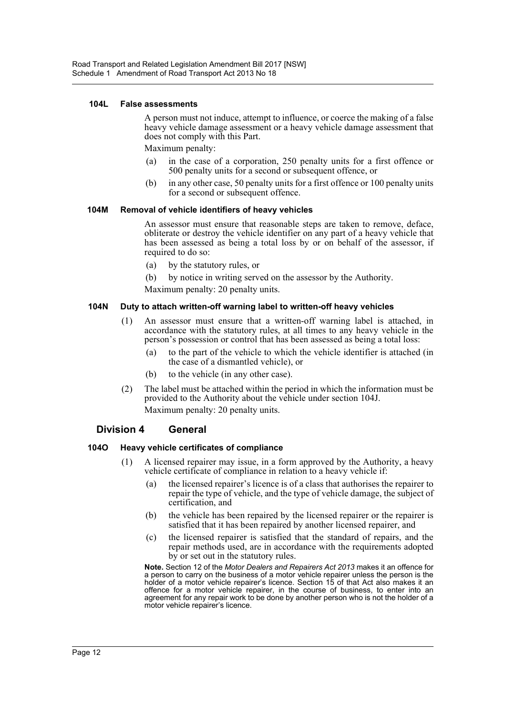#### **104L False assessments**

A person must not induce, attempt to influence, or coerce the making of a false heavy vehicle damage assessment or a heavy vehicle damage assessment that does not comply with this Part.

Maximum penalty:

- (a) in the case of a corporation, 250 penalty units for a first offence or 500 penalty units for a second or subsequent offence, or
- (b) in any other case, 50 penalty units for a first offence or 100 penalty units for a second or subsequent offence.

#### **104M Removal of vehicle identifiers of heavy vehicles**

An assessor must ensure that reasonable steps are taken to remove, deface, obliterate or destroy the vehicle identifier on any part of a heavy vehicle that has been assessed as being a total loss by or on behalf of the assessor, if required to do so:

- (a) by the statutory rules, or
- (b) by notice in writing served on the assessor by the Authority.

Maximum penalty: 20 penalty units.

#### **104N Duty to attach written-off warning label to written-off heavy vehicles**

- (1) An assessor must ensure that a written-off warning label is attached, in accordance with the statutory rules, at all times to any heavy vehicle in the person's possession or control that has been assessed as being a total loss:
	- (a) to the part of the vehicle to which the vehicle identifier is attached (in the case of a dismantled vehicle), or
	- (b) to the vehicle (in any other case).
- (2) The label must be attached within the period in which the information must be provided to the Authority about the vehicle under section 104J. Maximum penalty: 20 penalty units.

#### **Division 4 General**

#### **104O Heavy vehicle certificates of compliance**

- (1) A licensed repairer may issue, in a form approved by the Authority, a heavy vehicle certificate of compliance in relation to a heavy vehicle if:
	- (a) the licensed repairer's licence is of a class that authorises the repairer to repair the type of vehicle, and the type of vehicle damage, the subject of certification, and
	- (b) the vehicle has been repaired by the licensed repairer or the repairer is satisfied that it has been repaired by another licensed repairer, and
	- (c) the licensed repairer is satisfied that the standard of repairs, and the repair methods used, are in accordance with the requirements adopted by or set out in the statutory rules.

**Note.** Section 12 of the *Motor Dealers and Repairers Act 2013* makes it an offence for a person to carry on the business of a motor vehicle repairer unless the person is the holder of a motor vehicle repairer's licence. Section 15 of that Act also makes it an offence for a motor vehicle repairer, in the course of business, to enter into an agreement for any repair work to be done by another person who is not the holder of a motor vehicle repairer's licence.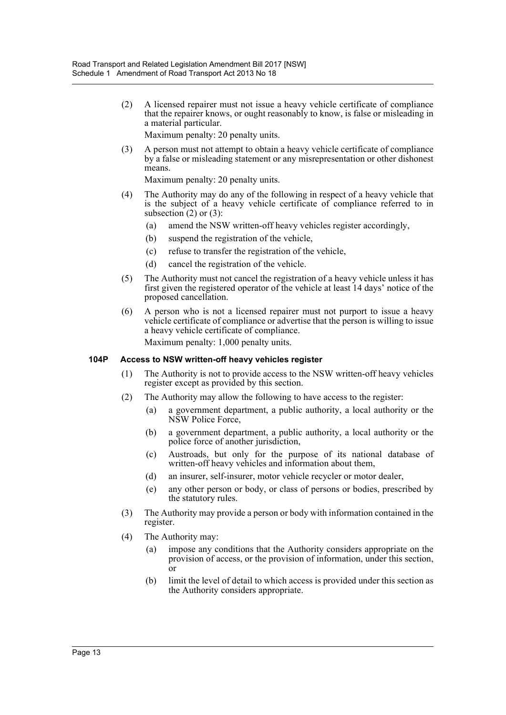(2) A licensed repairer must not issue a heavy vehicle certificate of compliance that the repairer knows, or ought reasonably to know, is false or misleading in a material particular.

Maximum penalty: 20 penalty units.

(3) A person must not attempt to obtain a heavy vehicle certificate of compliance by a false or misleading statement or any misrepresentation or other dishonest means.

Maximum penalty: 20 penalty units.

- (4) The Authority may do any of the following in respect of a heavy vehicle that is the subject of a heavy vehicle certificate of compliance referred to in subsection  $(2)$  or  $(3)$ :
	- (a) amend the NSW written-off heavy vehicles register accordingly,
	- (b) suspend the registration of the vehicle,
	- (c) refuse to transfer the registration of the vehicle,
	- (d) cancel the registration of the vehicle.
- (5) The Authority must not cancel the registration of a heavy vehicle unless it has first given the registered operator of the vehicle at least 14 days' notice of the proposed cancellation.
- (6) A person who is not a licensed repairer must not purport to issue a heavy vehicle certificate of compliance or advertise that the person is willing to issue a heavy vehicle certificate of compliance.

Maximum penalty: 1,000 penalty units.

#### **104P Access to NSW written-off heavy vehicles register**

- (1) The Authority is not to provide access to the NSW written-off heavy vehicles register except as provided by this section.
- (2) The Authority may allow the following to have access to the register:
	- (a) a government department, a public authority, a local authority or the NSW Police Force,
	- (b) a government department, a public authority, a local authority or the police force of another jurisdiction,
	- (c) Austroads, but only for the purpose of its national database of written-off heavy vehicles and information about them,
	- (d) an insurer, self-insurer, motor vehicle recycler or motor dealer,
	- (e) any other person or body, or class of persons or bodies, prescribed by the statutory rules.
- (3) The Authority may provide a person or body with information contained in the register.
- (4) The Authority may:
	- (a) impose any conditions that the Authority considers appropriate on the provision of access, or the provision of information, under this section, or
	- (b) limit the level of detail to which access is provided under this section as the Authority considers appropriate.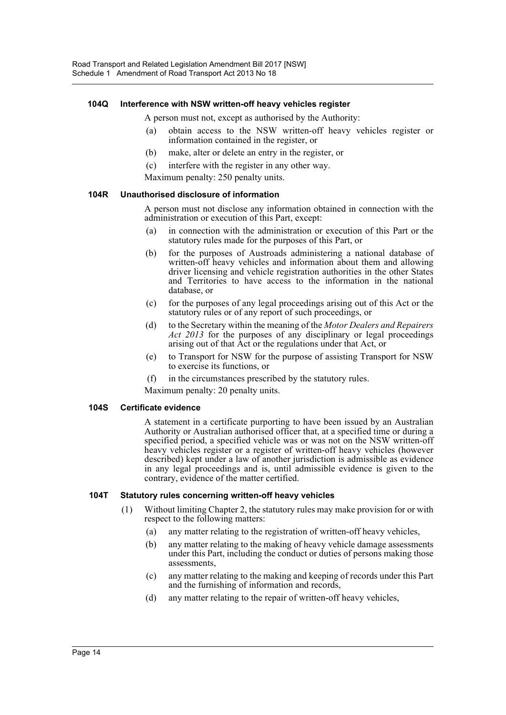#### **104Q Interference with NSW written-off heavy vehicles register**

A person must not, except as authorised by the Authority:

- (a) obtain access to the NSW written-off heavy vehicles register or information contained in the register, or
- (b) make, alter or delete an entry in the register, or
- (c) interfere with the register in any other way.
- Maximum penalty: 250 penalty units.

#### **104R Unauthorised disclosure of information**

A person must not disclose any information obtained in connection with the administration or execution of this Part, except:

- (a) in connection with the administration or execution of this Part or the statutory rules made for the purposes of this Part, or
- (b) for the purposes of Austroads administering a national database of written-off heavy vehicles and information about them and allowing driver licensing and vehicle registration authorities in the other States and Territories to have access to the information in the national database, or
- (c) for the purposes of any legal proceedings arising out of this Act or the statutory rules or of any report of such proceedings, or
- (d) to the Secretary within the meaning of the *Motor Dealers and Repairers Act 2013* for the purposes of any disciplinary or legal proceedings arising out of that Act or the regulations under that Act, or
- (e) to Transport for NSW for the purpose of assisting Transport for NSW to exercise its functions, or
- (f) in the circumstances prescribed by the statutory rules.

Maximum penalty: 20 penalty units.

#### **104S Certificate evidence**

A statement in a certificate purporting to have been issued by an Australian Authority or Australian authorised officer that, at a specified time or during a specified period, a specified vehicle was or was not on the NSW written-off heavy vehicles register or a register of written-off heavy vehicles (however described) kept under a law of another jurisdiction is admissible as evidence in any legal proceedings and is, until admissible evidence is given to the contrary, evidence of the matter certified.

#### **104T Statutory rules concerning written-off heavy vehicles**

- (1) Without limiting Chapter 2, the statutory rules may make provision for or with respect to the following matters:
	- (a) any matter relating to the registration of written-off heavy vehicles,
	- (b) any matter relating to the making of heavy vehicle damage assessments under this Part, including the conduct or duties of persons making those assessments,
	- (c) any matter relating to the making and keeping of records under this Part and the furnishing of information and records,
	- (d) any matter relating to the repair of written-off heavy vehicles,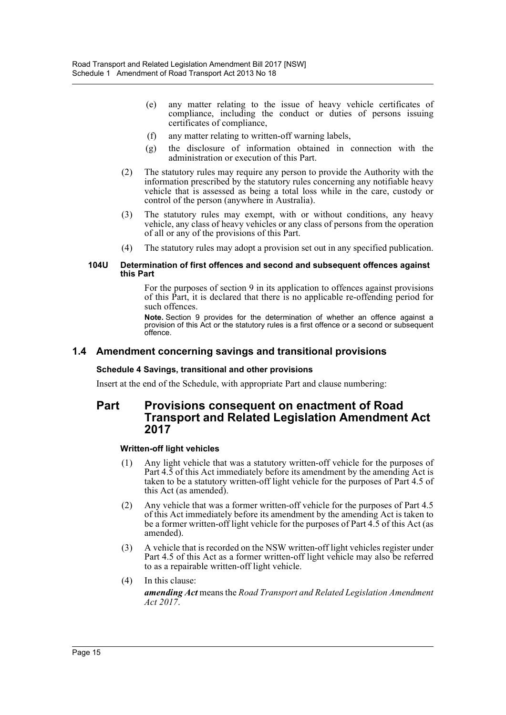- (e) any matter relating to the issue of heavy vehicle certificates of compliance, including the conduct or duties of persons issuing certificates of compliance,
- (f) any matter relating to written-off warning labels,
- (g) the disclosure of information obtained in connection with the administration or execution of this Part.
- (2) The statutory rules may require any person to provide the Authority with the information prescribed by the statutory rules concerning any notifiable heavy vehicle that is assessed as being a total loss while in the care, custody or control of the person (anywhere in Australia).
- (3) The statutory rules may exempt, with or without conditions, any heavy vehicle, any class of heavy vehicles or any class of persons from the operation of all or any of the provisions of this Part.
- (4) The statutory rules may adopt a provision set out in any specified publication.

#### **104U Determination of first offences and second and subsequent offences against this Part**

For the purposes of section 9 in its application to offences against provisions of this Part, it is declared that there is no applicable re-offending period for such offences.

**Note.** Section 9 provides for the determination of whether an offence against a provision of this Act or the statutory rules is a first offence or a second or subsequent offence.

# **1.4 Amendment concerning savings and transitional provisions**

#### **Schedule 4 Savings, transitional and other provisions**

Insert at the end of the Schedule, with appropriate Part and clause numbering:

# **Part Provisions consequent on enactment of Road Transport and Related Legislation Amendment Act 2017**

#### **Written-off light vehicles**

- (1) Any light vehicle that was a statutory written-off vehicle for the purposes of Part 4.5 of this Act immediately before its amendment by the amending Act is taken to be a statutory written-off light vehicle for the purposes of Part 4.5 of this Act (as amended).
- (2) Any vehicle that was a former written-off vehicle for the purposes of Part 4.5 of this Act immediately before its amendment by the amending Act is taken to be a former written-off light vehicle for the purposes of Part 4.5 of this Act (as amended).
- (3) A vehicle that is recorded on the NSW written-off light vehicles register under Part 4.5 of this Act as a former written-off light vehicle may also be referred to as a repairable written-off light vehicle.
- (4) In this clause: *amending Act* means the *Road Transport and Related Legislation Amendment Act 2017*.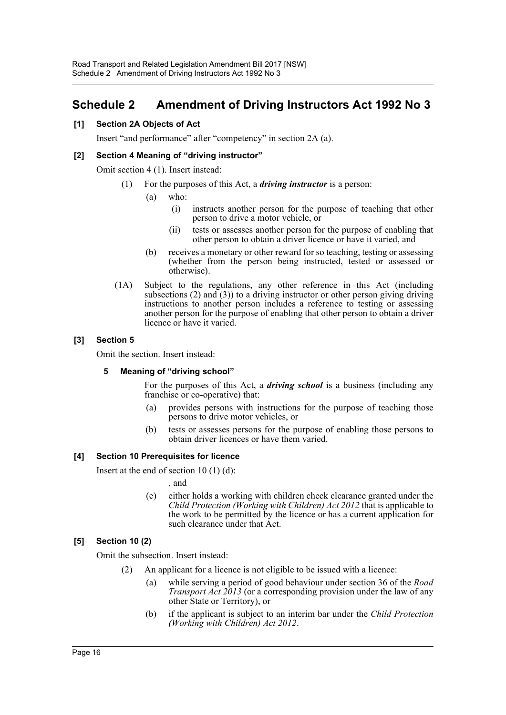# <span id="page-16-0"></span>**Schedule 2 Amendment of Driving Instructors Act 1992 No 3**

#### **[1] Section 2A Objects of Act**

Insert "and performance" after "competency" in section 2A (a).

#### **[2] Section 4 Meaning of "driving instructor"**

Omit section 4 (1). Insert instead:

- (1) For the purposes of this Act, a *driving instructor* is a person:
	- (a) who:
		- (i) instructs another person for the purpose of teaching that other person to drive a motor vehicle, or
		- (ii) tests or assesses another person for the purpose of enabling that other person to obtain a driver licence or have it varied, and
	- (b) receives a monetary or other reward for so teaching, testing or assessing (whether from the person being instructed, tested or assessed or otherwise).
- (1A) Subject to the regulations, any other reference in this Act (including subsections (2) and (3)) to a driving instructor or other person giving driving instructions to another person includes a reference to testing or assessing another person for the purpose of enabling that other person to obtain a driver licence or have it varied.

#### **[3] Section 5**

Omit the section. Insert instead:

#### **5 Meaning of "driving school"**

For the purposes of this Act, a *driving school* is a business (including any franchise or co-operative) that:

- (a) provides persons with instructions for the purpose of teaching those persons to drive motor vehicles, or
- (b) tests or assesses persons for the purpose of enabling those persons to obtain driver licences or have them varied.

#### **[4] Section 10 Prerequisites for licence**

Insert at the end of section 10 (1) (d):

, and

(e) either holds a working with children check clearance granted under the *Child Protection (Working with Children) Act 2012* that is applicable to the work to be permitted by the licence or has a current application for such clearance under that Act.

#### **[5] Section 10 (2)**

Omit the subsection. Insert instead:

- (2) An applicant for a licence is not eligible to be issued with a licence:
	- (a) while serving a period of good behaviour under section 36 of the *Road Transport Act 2013* (or a corresponding provision under the law of any other State or Territory), or
	- (b) if the applicant is subject to an interim bar under the *Child Protection (Working with Children) Act 2012*.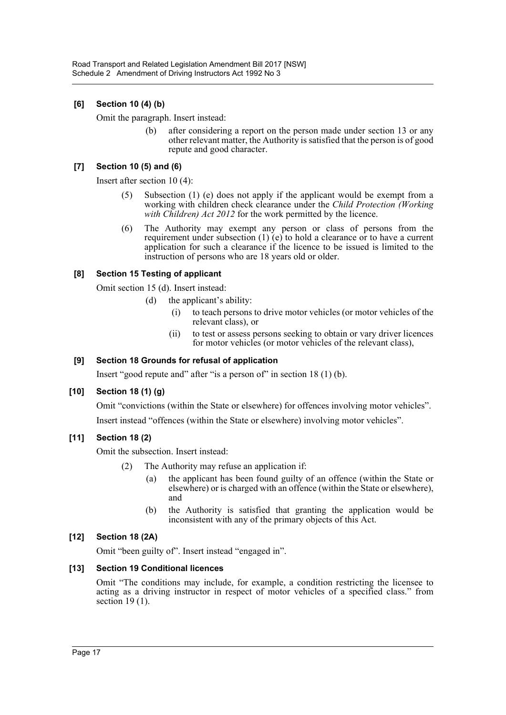# **[6] Section 10 (4) (b)**

Omit the paragraph. Insert instead:

(b) after considering a report on the person made under section 13 or any other relevant matter, the Authority is satisfied that the person is of good repute and good character.

# **[7] Section 10 (5) and (6)**

Insert after section 10 (4):

- (5) Subsection (1) (e) does not apply if the applicant would be exempt from a working with children check clearance under the *Child Protection (Working with Children) Act 2012* for the work permitted by the licence.
- (6) The Authority may exempt any person or class of persons from the requirement under subsection (1) (e) to hold a clearance or to have a current application for such a clearance if the licence to be issued is limited to the instruction of persons who are 18 years old or older.

# **[8] Section 15 Testing of applicant**

Omit section 15 (d). Insert instead:

- (d) the applicant's ability:
	- (i) to teach persons to drive motor vehicles (or motor vehicles of the relevant class), or
	- (ii) to test or assess persons seeking to obtain or vary driver licences for motor vehicles (or motor vehicles of the relevant class),

# **[9] Section 18 Grounds for refusal of application**

Insert "good repute and" after "is a person of" in section 18 (1) (b).

# **[10] Section 18 (1) (g)**

Omit "convictions (within the State or elsewhere) for offences involving motor vehicles".

Insert instead "offences (within the State or elsewhere) involving motor vehicles".

# **[11] Section 18 (2)**

Omit the subsection. Insert instead:

- (2) The Authority may refuse an application if:
	- (a) the applicant has been found guilty of an offence (within the State or elsewhere) or is charged with an offence (within the State or elsewhere), and
	- (b) the Authority is satisfied that granting the application would be inconsistent with any of the primary objects of this Act.

# **[12] Section 18 (2A)**

Omit "been guilty of". Insert instead "engaged in".

#### **[13] Section 19 Conditional licences**

Omit "The conditions may include, for example, a condition restricting the licensee to acting as a driving instructor in respect of motor vehicles of a specified class." from section  $19(1)$ .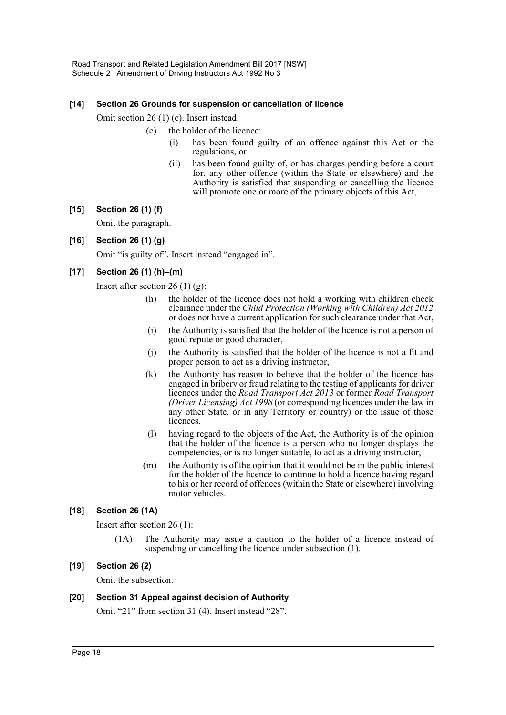#### **[14] Section 26 Grounds for suspension or cancellation of licence**

Omit section 26 (1) (c). Insert instead:

- (c) the holder of the licence:
	- has been found guilty of an offence against this Act or the regulations, or
	- (ii) has been found guilty of, or has charges pending before a court for, any other offence (within the State or elsewhere) and the Authority is satisfied that suspending or cancelling the licence will promote one or more of the primary objects of this Act,

# **[15] Section 26 (1) (f)**

Omit the paragraph.

#### **[16] Section 26 (1) (g)**

Omit "is guilty of". Insert instead "engaged in".

# **[17] Section 26 (1) (h)–(m)**

Insert after section  $26(1)(g)$ :

- (h) the holder of the licence does not hold a working with children check clearance under the *Child Protection (Working with Children) Act 2012* or does not have a current application for such clearance under that Act,
- (i) the Authority is satisfied that the holder of the licence is not a person of good repute or good character,
- (j) the Authority is satisfied that the holder of the licence is not a fit and proper person to act as a driving instructor,
- (k) the Authority has reason to believe that the holder of the licence has engaged in bribery or fraud relating to the testing of applicants for driver licences under the *Road Transport Act 2013* or former *Road Transport (Driver Licensing) Act 1998* (or corresponding licences under the law in any other State, or in any Territory or country) or the issue of those licences,
- (l) having regard to the objects of the Act, the Authority is of the opinion that the holder of the licence is a person who no longer displays the competencies, or is no longer suitable, to act as a driving instructor,
- (m) the Authority is of the opinion that it would not be in the public interest for the holder of the licence to continue to hold a licence having regard to his or her record of offences (within the State or elsewhere) involving motor vehicles.

# **[18] Section 26 (1A)**

Insert after section 26 (1):

(1A) The Authority may issue a caution to the holder of a licence instead of suspending or cancelling the licence under subsection (1).

#### **[19] Section 26 (2)**

Omit the subsection.

#### **[20] Section 31 Appeal against decision of Authority**

Omit "21" from section 31 (4). Insert instead "28".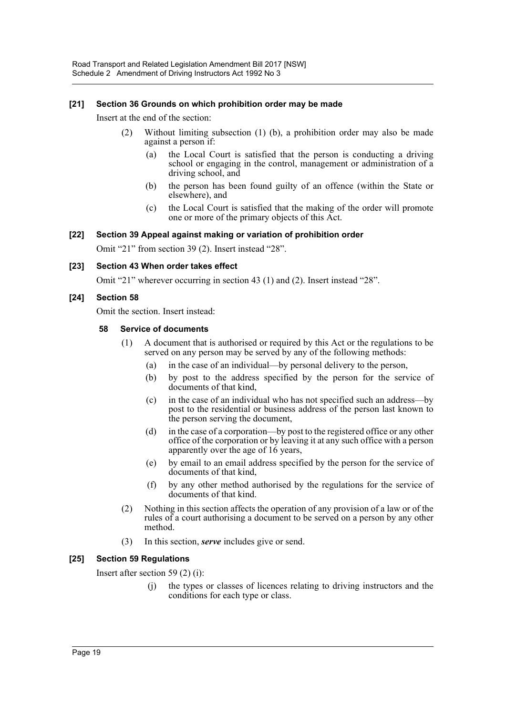#### **[21] Section 36 Grounds on which prohibition order may be made**

Insert at the end of the section:

- (2) Without limiting subsection (1) (b), a prohibition order may also be made against a person if:
	- (a) the Local Court is satisfied that the person is conducting a driving school or engaging in the control, management or administration of a driving school, and
	- (b) the person has been found guilty of an offence (within the State or elsewhere), and
	- (c) the Local Court is satisfied that the making of the order will promote one or more of the primary objects of this Act.

#### **[22] Section 39 Appeal against making or variation of prohibition order**

Omit "21" from section 39 (2). Insert instead "28".

#### **[23] Section 43 When order takes effect**

Omit "21" wherever occurring in section 43 (1) and (2). Insert instead "28".

#### **[24] Section 58**

Omit the section. Insert instead:

#### **58 Service of documents**

- (1) A document that is authorised or required by this Act or the regulations to be served on any person may be served by any of the following methods:
	- (a) in the case of an individual—by personal delivery to the person,
	- (b) by post to the address specified by the person for the service of documents of that kind,
	- (c) in the case of an individual who has not specified such an address—by post to the residential or business address of the person last known to the person serving the document,
	- (d) in the case of a corporation—by post to the registered office or any other office of the corporation or by leaving it at any such office with a person apparently over the age of 16 years,
	- (e) by email to an email address specified by the person for the service of documents of that kind,
	- (f) by any other method authorised by the regulations for the service of documents of that kind.
- (2) Nothing in this section affects the operation of any provision of a law or of the rules of a court authorising a document to be served on a person by any other method.
- (3) In this section, *serve* includes give or send.

#### **[25] Section 59 Regulations**

Insert after section 59 (2) (i):

(j) the types or classes of licences relating to driving instructors and the conditions for each type or class.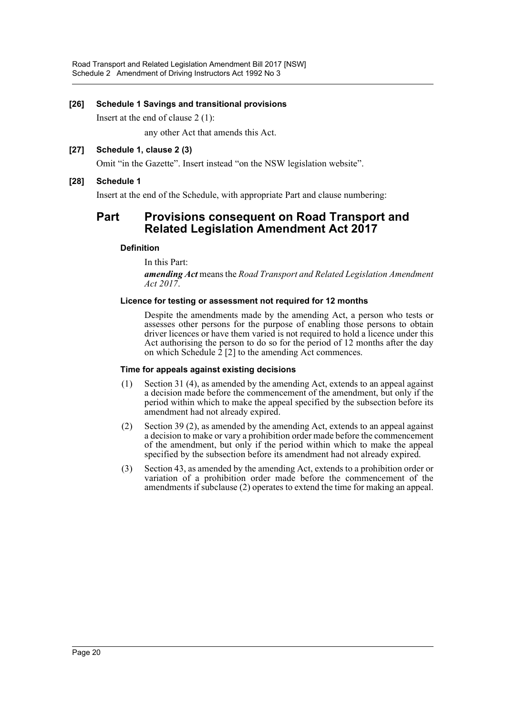#### **[26] Schedule 1 Savings and transitional provisions**

Insert at the end of clause 2 (1):

any other Act that amends this Act.

#### **[27] Schedule 1, clause 2 (3)**

Omit "in the Gazette". Insert instead "on the NSW legislation website".

#### **[28] Schedule 1**

Insert at the end of the Schedule, with appropriate Part and clause numbering:

# **Part Provisions consequent on Road Transport and Related Legislation Amendment Act 2017**

#### **Definition**

In this Part:

*amending Act* means the *Road Transport and Related Legislation Amendment Act 2017*.

#### **Licence for testing or assessment not required for 12 months**

Despite the amendments made by the amending Act, a person who tests or assesses other persons for the purpose of enabling those persons to obtain driver licences or have them varied is not required to hold a licence under this Act authorising the person to do so for the period of 12 months after the day on which Schedule 2 [2] to the amending Act commences.

#### **Time for appeals against existing decisions**

- (1) Section 31 (4), as amended by the amending Act, extends to an appeal against a decision made before the commencement of the amendment, but only if the period within which to make the appeal specified by the subsection before its amendment had not already expired.
- (2) Section 39 (2), as amended by the amending Act, extends to an appeal against a decision to make or vary a prohibition order made before the commencement of the amendment, but only if the period within which to make the appeal specified by the subsection before its amendment had not already expired.
- (3) Section 43, as amended by the amending Act, extends to a prohibition order or variation of a prohibition order made before the commencement of the amendments if subclause (2) operates to extend the time for making an appeal.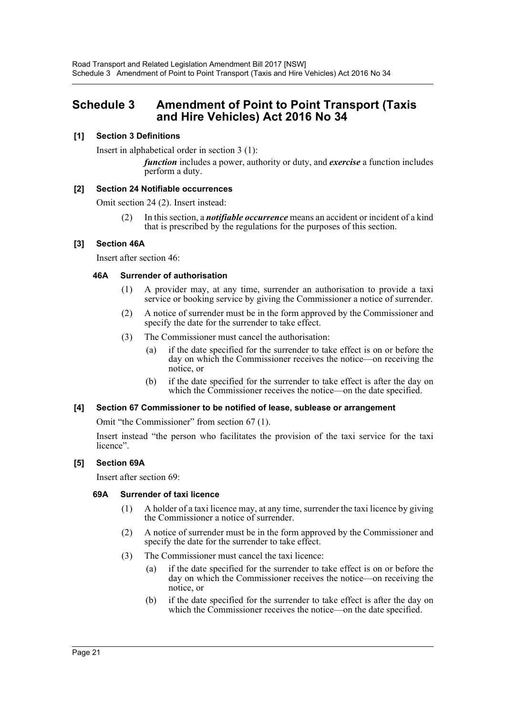# <span id="page-21-0"></span>**Schedule 3 Amendment of Point to Point Transport (Taxis and Hire Vehicles) Act 2016 No 34**

#### **[1] Section 3 Definitions**

Insert in alphabetical order in section 3 (1):

*function* includes a power, authority or duty, and *exercise* a function includes perform a duty.

#### **[2] Section 24 Notifiable occurrences**

Omit section 24 (2). Insert instead:

(2) In this section, a *notifiable occurrence* means an accident or incident of a kind that is prescribed by the regulations for the purposes of this section.

#### **[3] Section 46A**

Insert after section 46:

#### **46A Surrender of authorisation**

- (1) A provider may, at any time, surrender an authorisation to provide a taxi service or booking service by giving the Commissioner a notice of surrender.
- (2) A notice of surrender must be in the form approved by the Commissioner and specify the date for the surrender to take effect.
- (3) The Commissioner must cancel the authorisation:
	- (a) if the date specified for the surrender to take effect is on or before the day on which the Commissioner receives the notice—on receiving the notice, or
	- (b) if the date specified for the surrender to take effect is after the day on which the Commissioner receives the notice—on the date specified.

#### **[4] Section 67 Commissioner to be notified of lease, sublease or arrangement**

Omit "the Commissioner" from section 67 (1).

Insert instead "the person who facilitates the provision of the taxi service for the taxi licence".

#### **[5] Section 69A**

Insert after section 69:

#### **69A Surrender of taxi licence**

- (1) A holder of a taxi licence may, at any time, surrender the taxi licence by giving the Commissioner a notice of surrender.
- (2) A notice of surrender must be in the form approved by the Commissioner and specify the date for the surrender to take effect.
- (3) The Commissioner must cancel the taxi licence:
	- (a) if the date specified for the surrender to take effect is on or before the day on which the Commissioner receives the notice—on receiving the notice, or
	- (b) if the date specified for the surrender to take effect is after the day on which the Commissioner receives the notice—on the date specified.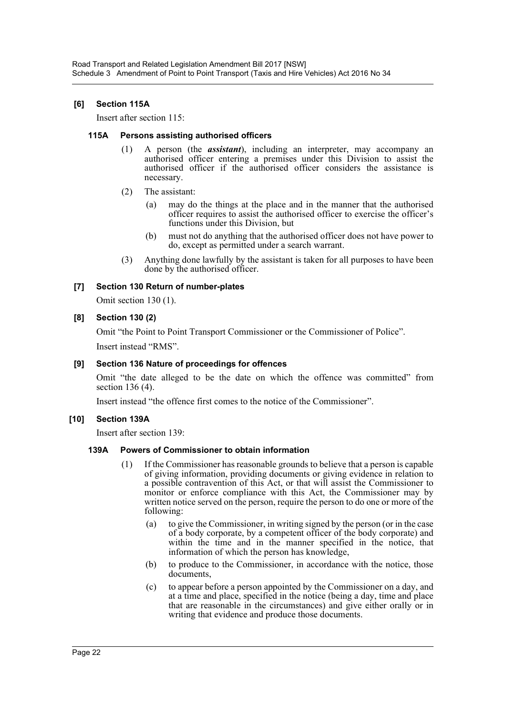#### **[6] Section 115A**

Insert after section 115:

#### **115A Persons assisting authorised officers**

- (1) A person (the *assistant*), including an interpreter, may accompany an authorised officer entering a premises under this Division to assist the authorised officer if the authorised officer considers the assistance is necessary.
- (2) The assistant:
	- (a) may do the things at the place and in the manner that the authorised officer requires to assist the authorised officer to exercise the officer's functions under this Division, but
	- (b) must not do anything that the authorised officer does not have power to do, except as permitted under a search warrant.
- (3) Anything done lawfully by the assistant is taken for all purposes to have been done by the authorised officer.

# **[7] Section 130 Return of number-plates**

Omit section 130 (1).

#### **[8] Section 130 (2)**

Omit "the Point to Point Transport Commissioner or the Commissioner of Police".

Insert instead "RMS".

# **[9] Section 136 Nature of proceedings for offences**

Omit "the date alleged to be the date on which the offence was committed" from section 136 (4).

Insert instead "the offence first comes to the notice of the Commissioner".

# **[10] Section 139A**

Insert after section 139:

#### **139A Powers of Commissioner to obtain information**

- (1) If the Commissioner has reasonable grounds to believe that a person is capable of giving information, providing documents or giving evidence in relation to a possible contravention of this Act, or that will assist the Commissioner to monitor or enforce compliance with this Act, the Commissioner may by written notice served on the person, require the person to do one or more of the following:
	- (a) to give the Commissioner, in writing signed by the person (or in the case of a body corporate, by a competent officer of the body corporate) and within the time and in the manner specified in the notice, that information of which the person has knowledge,
	- (b) to produce to the Commissioner, in accordance with the notice, those documents,
	- (c) to appear before a person appointed by the Commissioner on a day, and at a time and place, specified in the notice (being a day, time and place that are reasonable in the circumstances) and give either orally or in writing that evidence and produce those documents.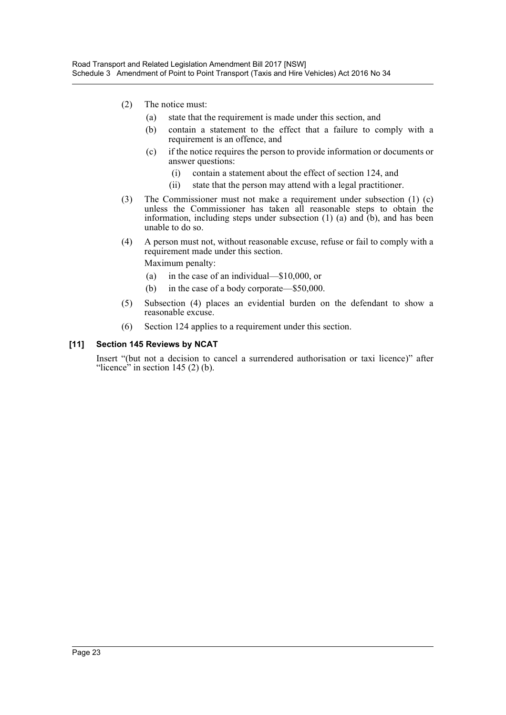- (2) The notice must:
	- (a) state that the requirement is made under this section, and
	- (b) contain a statement to the effect that a failure to comply with a requirement is an offence, and
	- (c) if the notice requires the person to provide information or documents or answer questions:
		- (i) contain a statement about the effect of section 124, and
		- (ii) state that the person may attend with a legal practitioner.
- (3) The Commissioner must not make a requirement under subsection (1) (c) unless the Commissioner has taken all reasonable steps to obtain the information, including steps under subsection (1) (a) and (b), and has been unable to do so.
- (4) A person must not, without reasonable excuse, refuse or fail to comply with a requirement made under this section.

Maximum penalty:

- (a) in the case of an individual—\$10,000, or
- (b) in the case of a body corporate—\$50,000.
- (5) Subsection (4) places an evidential burden on the defendant to show a reasonable excuse.
- (6) Section 124 applies to a requirement under this section.

#### **[11] Section 145 Reviews by NCAT**

Insert "(but not a decision to cancel a surrendered authorisation or taxi licence)" after "licence" in section  $145(2)$  (b).